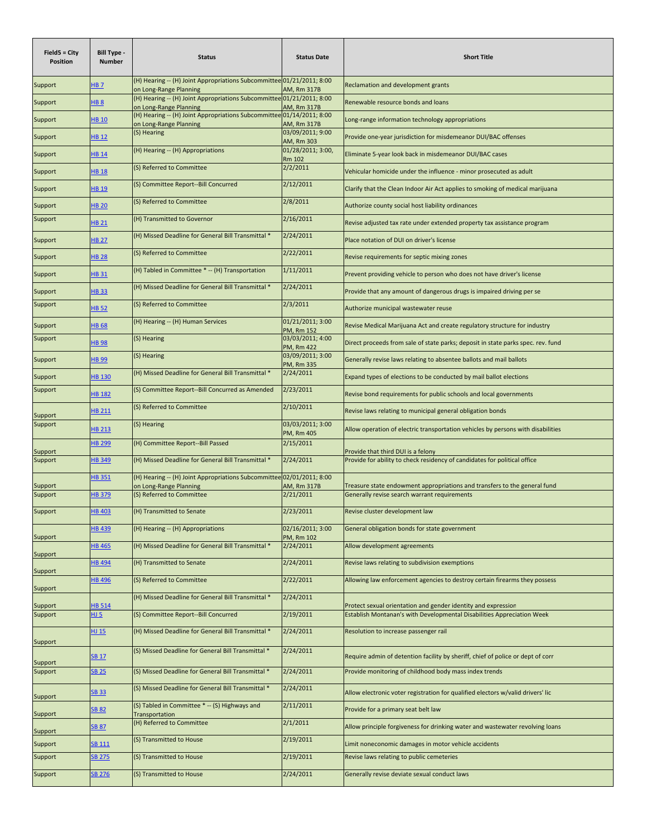| Field5 = City<br><b>Position</b> | <b>Bill Type -</b><br><b>Number</b> | <b>Status</b>                                                                                   | <b>Status Date</b>             | <b>Short Title</b>                                                               |
|----------------------------------|-------------------------------------|-------------------------------------------------------------------------------------------------|--------------------------------|----------------------------------------------------------------------------------|
| Support                          | <u>HB 7</u>                         | (H) Hearing -- (H) Joint Appropriations Subcommittee 01/21/2011; 8:00<br>on Long-Range Planning | AM, Rm 317B                    | Reclamation and development grants                                               |
| Support                          | 8 BH                                | (H) Hearing -- (H) Joint Appropriations Subcommittee 01/21/2011; 8:00<br>on Long-Range Planning | AM, Rm 317B                    | Renewable resource bonds and loans                                               |
| Support                          | HB 10                               | (H) Hearing -- (H) Joint Appropriations Subcommittee 01/14/2011; 8:00<br>on Long-Range Planning | AM, Rm 317B                    | Long-range information technology appropriations                                 |
| Support                          | <b>HB 12</b>                        | (S) Hearing                                                                                     | 03/09/2011; 9:00<br>AM, Rm 303 | Provide one-year jurisdiction for misdemeanor DUI/BAC offenses                   |
| Support                          | HB 14                               | (H) Hearing -- (H) Appropriations                                                               | 01/28/2011; 3:00,<br>Rm 102    | Eliminate 5-year look back in misdemeanor DUI/BAC cases                          |
| Support                          | <b>HB 18</b>                        | (S) Referred to Committee                                                                       | 2/2/2011                       | Vehicular homicide under the influence - minor prosecuted as adult               |
| Support                          | <b>HB 19</b>                        | (S) Committee Report--Bill Concurred                                                            | 2/12/2011                      | Clarify that the Clean Indoor Air Act applies to smoking of medical marijuana    |
| Support                          | <b>HB 20</b>                        | (S) Referred to Committee                                                                       | 2/8/2011                       | Authorize county social host liability ordinances                                |
| Support                          | $-1821$                             | (H) Transmitted to Governor                                                                     | 2/16/2011                      | Revise adjusted tax rate under extended property tax assistance program          |
| Support                          | <b>HB 27</b>                        | (H) Missed Deadline for General Bill Transmittal *                                              | 2/24/2011                      | Place notation of DUI on driver's license                                        |
| Support                          | <b>HB 28</b>                        | (S) Referred to Committee                                                                       | 2/22/2011                      | Revise requirements for septic mixing zones                                      |
| Support                          | <b>HB 31</b>                        | (H) Tabled in Committee * -- (H) Transportation                                                 | 1/11/2011                      | Prevent providing vehicle to person who does not have driver's license           |
| Support                          | <b>HB33</b>                         | (H) Missed Deadline for General Bill Transmittal *                                              | 2/24/2011                      | Provide that any amount of dangerous drugs is impaired driving per se            |
| Support                          | <b>HB 52</b>                        | (S) Referred to Committee                                                                       | 2/3/2011                       | Authorize municipal wastewater reuse                                             |
| Support                          | 86 BH                               | (H) Hearing -- (H) Human Services                                                               | 01/21/2011; 3:00<br>PM, Rm 152 | Revise Medical Marijuana Act and create regulatory structure for industry        |
| Support                          | 8e 8 <sub>H</sub>                   | (S) Hearing                                                                                     | 03/03/2011; 4:00<br>PM, Rm 422 | Direct proceeds from sale of state parks; deposit in state parks spec. rev. fund |
| Support                          | <b>B 99</b>                         | (S) Hearing                                                                                     | 03/09/2011; 3:00<br>PM, Rm 335 | Generally revise laws relating to absentee ballots and mail ballots              |
| Support                          | <b>HB 130</b>                       | (H) Missed Deadline for General Bill Transmittal *                                              | 2/24/2011                      | Expand types of elections to be conducted by mail ballot elections               |
| Support                          | <b>HB 182</b>                       | (S) Committee Report--Bill Concurred as Amended                                                 | 2/23/2011                      | Revise bond requirements for public schools and local governments                |
| Support                          | <b>HB 211</b>                       | (S) Referred to Committee                                                                       | 2/10/2011                      | Revise laws relating to municipal general obligation bonds                       |
| Support                          | <b>HB 213</b>                       | (S) Hearing                                                                                     | 03/03/2011; 3:00<br>PM, Rm 405 | Allow operation of electric transportation vehicles by persons with disabilities |
| Support                          | <b>HB 299</b>                       | (H) Committee Report--Bill Passed                                                               | 2/15/2011                      | Provide that third DUI is a felony                                               |
| Support                          | <b>HB349</b>                        | (H) Missed Deadline for General Bill Transmittal *                                              | 2/24/2011                      | Provide for ability to check residency of candidates for political office        |
| Support                          | <b>HB351</b>                        | (H) Hearing -- (H) Joint Appropriations Subcommittee 02/01/2011; 8:00<br>on Long-Range Planning | AM, Rm 317B                    | Treasure state endowment appropriations and transfers to the general fund        |
| Support                          | <b>HB379</b>                        | (S) Referred to Committee                                                                       | 2/21/2011                      | Generally revise search warrant requirements                                     |
| Support                          | <b>HB 403</b>                       | (H) Transmitted to Senate                                                                       | 2/23/2011                      | Revise cluster development law                                                   |
| Support                          | <b>HB 439</b>                       | (H) Hearing -- (H) Appropriations                                                               | 02/16/2011; 3:00<br>PM, Rm 102 | General obligation bonds for state government                                    |
| Support                          | <b>HB 465</b>                       | (H) Missed Deadline for General Bill Transmittal *                                              | 2/24/2011                      | Allow development agreements                                                     |
| Support                          | <b>HB 494</b>                       | (H) Transmitted to Senate                                                                       | 2/24/2011                      | Revise laws relating to subdivision exemptions                                   |
| Support                          | <b>B</b> 496                        | (S) Referred to Committee                                                                       | 2/22/2011                      | Allowing law enforcement agencies to destroy certain firearms they possess       |
| Support                          | <b>HB 514</b>                       | (H) Missed Deadline for General Bill Transmittal *                                              | 2/24/2011                      | Protect sexual orientation and gender identity and expression                    |
| Support                          | <u>HJ 5</u>                         | (S) Committee Report--Bill Concurred                                                            | 2/19/2011                      | Establish Montanan's with Developmental Disabilities Appreciation Week           |
|                                  | HJ 15                               | (H) Missed Deadline for General Bill Transmittal *                                              | 2/24/2011                      | Resolution to increase passenger rail                                            |
| Support<br>Support               | <b>SB 17</b>                        | (S) Missed Deadline for General Bill Transmittal *                                              | 2/24/2011                      | Require admin of detention facility by sheriff, chief of police or dept of corr  |
| Support                          | <b>SB 25</b>                        | (S) Missed Deadline for General Bill Transmittal *                                              | 2/24/2011                      | Provide monitoring of childhood body mass index trends                           |
| Support                          | <b>SB 33</b>                        | (S) Missed Deadline for General Bill Transmittal *                                              | 2/24/2011                      | Allow electronic voter registration for qualified electors w/valid drivers' lic  |
| Support                          | <b>SB 82</b>                        | (S) Tabled in Committee *-- (S) Highways and<br>Transportation                                  | 2/11/2011                      | Provide for a primary seat belt law                                              |
| Support                          | <b>SB 87</b>                        | (H) Referred to Committee                                                                       | 2/1/2011                       | Allow principle forgiveness for drinking water and wastewater revolving loans    |
| Support                          | <b>SB 111</b>                       | (S) Transmitted to House                                                                        | 2/19/2011                      | Limit noneconomic damages in motor vehicle accidents                             |
| Support                          | <b>SB 275</b>                       | (S) Transmitted to House                                                                        | 2/19/2011                      | Revise laws relating to public cemeteries                                        |
| Support                          | SB 276                              | (S) Transmitted to House                                                                        | 2/24/2011                      | Generally revise deviate sexual conduct laws                                     |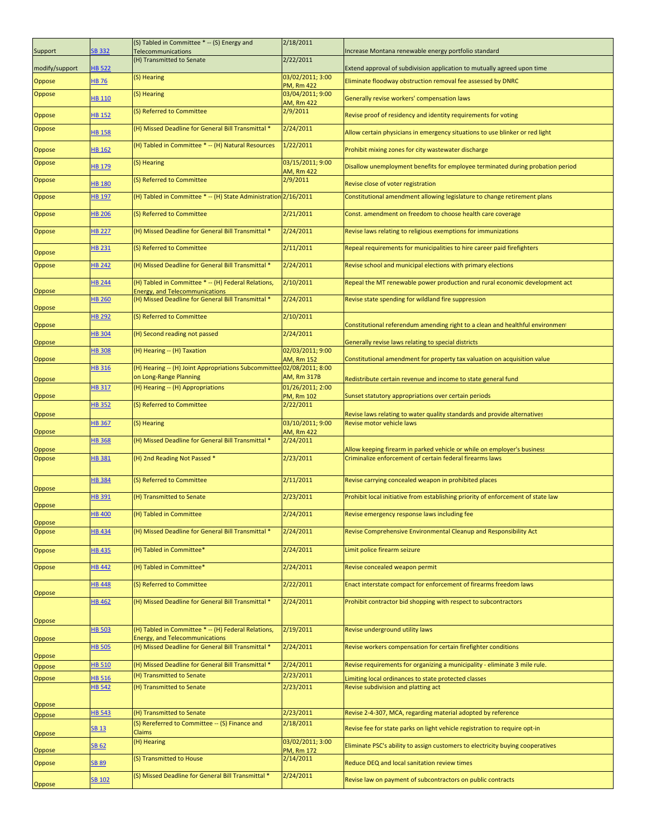| Support        | <b>SB 332</b> | (S) Tabled in Committee *-- (S) Energy and<br>Telecommunications                             | 2/18/2011                             | ncrease Montana renewable energy portfolio standard                                                   |
|----------------|---------------|----------------------------------------------------------------------------------------------|---------------------------------------|-------------------------------------------------------------------------------------------------------|
| modify/support | <b>HB 522</b> | (H) Transmitted to Senate                                                                    | 2/22/2011                             | Extend approval of subdivision application to mutually agreed upon time                               |
| Oppose         | <b>HB 76</b>  | (S) Hearing                                                                                  | 03/02/2011; 3:00<br><b>PM, Rm 422</b> | Eliminate floodway obstruction removal fee assessed by DNRC                                           |
| Oppose         | HB 110        | (S) Hearing                                                                                  | 03/04/2011; 9:00                      | Generally revise workers' compensation laws                                                           |
| Oppose         | <b>HB 152</b> | (S) Referred to Committee                                                                    | AM, Rm 422<br>2/9/2011                | Revise proof of residency and identity requirements for voting                                        |
| Oppose         | <b>HB 158</b> | (H) Missed Deadline for General Bill Transmittal *                                           | 2/24/2011                             | Allow certain physicians in emergency situations to use blinker or red light                          |
| Oppose         | HB 162        | (H) Tabled in Committee * -- (H) Natural Resources                                           | 1/22/2011                             | Prohibit mixing zones for city wastewater discharge                                                   |
| Oppose         | HB 179        | (S) Hearing                                                                                  | 03/15/2011; 9:00                      | Disallow unemployment benefits for employee terminated during probation period                        |
| Oppose         | <b>HB 180</b> | (S) Referred to Committee                                                                    | AM, Rm 422<br>2/9/2011                | Revise close of voter registration                                                                    |
| Oppose         | <b>HB 197</b> | (H) Tabled in Committee * -- (H) State Administration 2/16/2011                              |                                       | Constitutional amendment allowing legislature to change retirement plans                              |
| Oppose         | <b>HB 206</b> | (S) Referred to Committee                                                                    | 2/21/2011                             | Const. amendment on freedom to choose health care coverage                                            |
| Oppose         | <b>HB 227</b> | (H) Missed Deadline for General Bill Transmittal *                                           | 2/24/2011                             | Revise laws relating to religious exemptions for immunizations                                        |
|                |               |                                                                                              |                                       |                                                                                                       |
| Oppose         | HB 231        | (S) Referred to Committee                                                                    | 2/11/2011                             | Repeal requirements for municipalities to hire career paid firefighters                               |
| Oppose         | <b>HB 242</b> | (H) Missed Deadline for General Bill Transmittal *                                           | 2/24/2011                             | Revise school and municipal elections with primary elections                                          |
| Oppose         | <b>HB 244</b> | (H) Tabled in Committee * -- (H) Federal Relations,<br><b>Energy, and Telecommunications</b> | 2/10/2011                             | Repeal the MT renewable power production and rural economic development act                           |
| Oppose         | <b>HB 260</b> | (H) Missed Deadline for General Bill Transmittal *                                           | 2/24/2011                             | Revise state spending for wildland fire suppression                                                   |
| Oppose         | <b>HB 292</b> | (S) Referred to Committee                                                                    | 2/10/2011                             | Constitutional referendum amending right to a clean and healthful environment                         |
| Oppose         | <b>HB 304</b> | (H) Second reading not passed                                                                | 2/24/2011                             | Generally revise laws relating to special districts                                                   |
|                | <b>HB308</b>  | (H) Hearing -- (H) Taxation                                                                  | 02/03/2011; 9:00                      |                                                                                                       |
| Oppose         | <b>HB 316</b> | (H) Hearing -- (H) Joint Appropriations Subcommittee 02/08/2011; 8:00                        | AM, Rm 152                            | Constitutional amendment for property tax valuation on acquisition value                              |
| Oppose         | <b>HB 317</b> | on Long-Range Planning<br>(H) Hearing -- (H) Appropriations                                  | AM, Rm 317B<br>01/26/2011; 2:00       | Redistribute certain revenue and income to state general fund                                         |
| <b>Oppose</b>  | <b>HB352</b>  | (S) Referred to Committee                                                                    | PM, Rm 102<br>2/22/2011               | Sunset statutory appropriations over certain periods                                                  |
| Oppose         |               |                                                                                              |                                       | Revise laws relating to water quality standards and provide alternatives<br>Revise motor vehicle laws |
| Oppose         | <b>HB 367</b> | (S) Hearing                                                                                  | 03/10/2011; 9:00<br>AM, Rm 422        |                                                                                                       |
| Oppose         | <b>HB368</b>  | (H) Missed Deadline for General Bill Transmittal *                                           | 2/24/2011                             | Allow keeping firearm in parked vehicle or while on employer's business                               |
| Oppose         | HB 381        | (H) 2nd Reading Not Passed *                                                                 | 2/23/2011                             | Criminalize enforcement of certain federal firearms laws                                              |
| Oppose         | <b>HB 384</b> | (S) Referred to Committee                                                                    | 2/11/2011                             | Revise carrying concealed weapon in prohibited places                                                 |
| Oppose         | HB 391        | (H) Transmitted to Senate                                                                    | 2/23/2011                             | Prohibit local initiative from establishing priority of enforcement of state law                      |
| <b>Oppose</b>  | <u>HB 400</u> | (H) Tabled in Committee                                                                      | 2/24/2011                             | Revise emergency response laws including fee                                                          |
| Oppose         | <b>HB434</b>  | (H) Missed Deadline for General Bill Transmittal *                                           | 2/24/2011                             | Revise Comprehensive Environmental Cleanup and Responsibility Act                                     |
| Oppose         | <b>HB 435</b> | (H) Tabled in Committee*                                                                     | 2/24/2011                             | Limit police firearm seizure                                                                          |
| Oppose         | <b>HB 442</b> | (H) Tabled in Committee*                                                                     | 2/24/2011                             | Revise concealed weapon permit                                                                        |
| Oppose         | <b>HB 448</b> | (S) Referred to Committee                                                                    | 2/22/2011                             | Enact interstate compact for enforcement of firearms freedom laws                                     |
|                | <b>HB 462</b> | (H) Missed Deadline for General Bill Transmittal *                                           | 2/24/2011                             | Prohibit contractor bid shopping with respect to subcontractors                                       |
| Oppose         |               |                                                                                              |                                       |                                                                                                       |
| Oppose         | <b>HB 503</b> | (H) Tabled in Committee * -- (H) Federal Relations,<br><b>Energy, and Telecommunications</b> | 2/19/2011                             | Revise underground utility laws                                                                       |
| Oppose         | <b>HB 505</b> | (H) Missed Deadline for General Bill Transmittal *                                           | 2/24/2011                             | Revise workers compensation for certain firefighter conditions                                        |
| Oppose         | <b>HB 510</b> | (H) Missed Deadline for General Bill Transmittal *                                           | 2/24/2011                             | Revise requirements for organizing a municipality - eliminate 3 mile rule.                            |
| Oppose         | <b>HB 516</b> | (H) Transmitted to Senate                                                                    | 2/23/2011                             | imiting local ordinances to state protected classes                                                   |
|                | <b>HB 542</b> | (H) Transmitted to Senate                                                                    | 2/23/2011                             | Revise subdivision and platting act                                                                   |
| Oppose         | <b>HB 543</b> | (H) Transmitted to Senate                                                                    | 2/23/2011                             |                                                                                                       |
| Oppose         |               | (S) Rereferred to Committee -- (S) Finance and                                               | 2/18/2011                             | Revise 2-4-307, MCA, regarding material adopted by reference                                          |
| Oppose         | <b>SB 13</b>  | Claims                                                                                       |                                       | Revise fee for state parks on light vehicle registration to require opt-in                            |
| Oppose         | <b>SB 62</b>  | (H) Hearing                                                                                  | 03/02/2011; 3:00<br>PM, Rm 172        | Eliminate PSC's ability to assign customers to electricity buying cooperatives                        |
| Oppose         | <b>SB 89</b>  | (S) Transmitted to House                                                                     | 2/14/2011                             | Reduce DEQ and local sanitation review times                                                          |
| <b>Oppose</b>  | SB 102        | (S) Missed Deadline for General Bill Transmittal *                                           | 2/24/2011                             | Revise law on payment of subcontractors on public contracts                                           |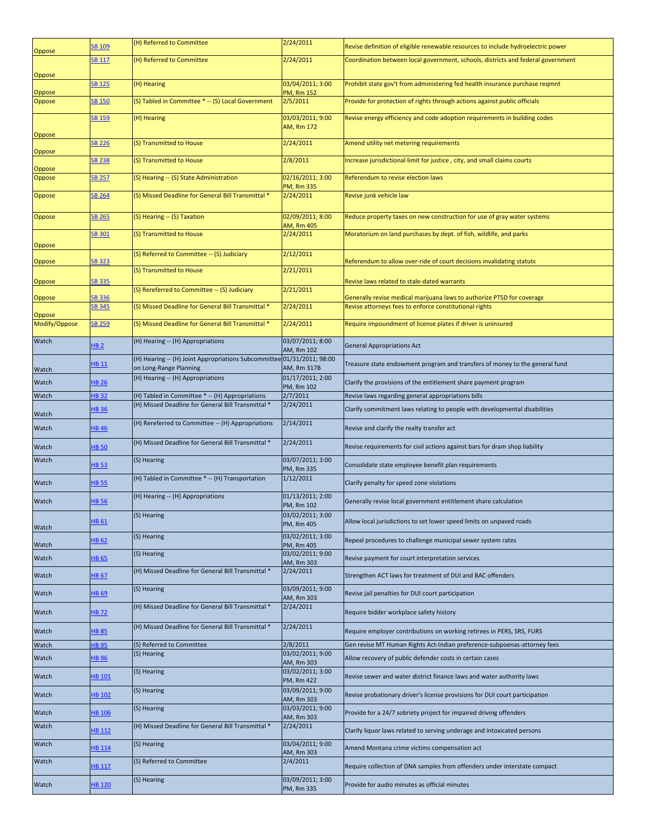| Oppose        | SB 109            | (H) Referred to Committee                                                                             | 2/24/2011                      | Revise definition of eligible renewable resources to include hydroelectric power                                                 |
|---------------|-------------------|-------------------------------------------------------------------------------------------------------|--------------------------------|----------------------------------------------------------------------------------------------------------------------------------|
|               | <b>SB 117</b>     | (H) Referred to Committee                                                                             | 2/24/2011                      | Coordination between local government, schools, districts and federal government                                                 |
| Oppose        | SB <sub>125</sub> | (H) Hearing                                                                                           | 03/04/2011; 3:00               | Prohibit state gov't from administering fed health insurance purchase regmnt                                                     |
| Oppose        |                   |                                                                                                       | PM, Rm 152                     |                                                                                                                                  |
| Oppose        | <b>SB 150</b>     | (S) Tabled in Committee * -- (S) Local Government                                                     | 2/5/2011                       | Provide for protection of rights through actions against public officials                                                        |
| Oppose        | SB 159            | (H) Hearing                                                                                           | 03/03/2011; 9:00<br>AM, Rm 172 | Revise energy efficiency and code adoption requirements in building codes                                                        |
| Oppose        | <b>SB 226</b>     | (S) Transmitted to House                                                                              | 2/24/2011                      | Amend utility net metering requirements                                                                                          |
| Oppose        | <b>SB 238</b>     | (S) Transmitted to House                                                                              | 2/8/2011                       | Increase jurisdictional limit for justice, city, and small claims courts                                                         |
| Oppose        | <b>SB 257</b>     | (S) Hearing -- (S) State Administration                                                               | 02/16/2011; 3:00<br>PM, Rm 335 | Referendum to revise election laws                                                                                               |
| Oppose        | SB 264            | (S) Missed Deadline for General Bill Transmittal *                                                    | 2/24/2011                      | Revise junk vehicle law                                                                                                          |
| Oppose        | SB 265            | (S) Hearing -- (S) Taxation                                                                           | 02/09/2011; 8:00<br>AM, Rm 405 | Reduce property taxes on new construction for use of gray water systems                                                          |
| Oppose        | SB 301            | (S) Transmitted to House                                                                              | 2/24/2011                      | Moratorium on land purchases by dept. of fish, wildlife, and parks                                                               |
|               |                   | (S) Referred to Committee -- (S) Judiciary                                                            | 2/12/2011                      |                                                                                                                                  |
| Oppose        | SB 323            | (S) Transmitted to House                                                                              | 2/21/2011                      | Referendum to allow over-ride of court decisions invalidating statute                                                            |
| Oppose        | <b>SB 335</b>     | (S) Rereferred to Committee -- (S) Judiciary                                                          | 2/21/2011                      | Revise laws related to stale-dated warrants                                                                                      |
| Oppose        | SB 336<br>SB 345  | (S) Missed Deadline for General Bill Transmittal *                                                    | 2/24/2011                      | Generally revise medical marijuana laws to authorize PTSD for coverage<br>Revise attorneys fees to enforce constitutional rights |
| Oppose        |                   |                                                                                                       |                                |                                                                                                                                  |
| Modify/Oppose | SB 259            | (S) Missed Deadline for General Bill Transmittal *                                                    | 2/24/2011                      | Require impoundment of license plates if driver is uninsured                                                                     |
| Watch         | <b>HB 2</b>       | (H) Hearing -- (H) Appropriations                                                                     | 03/07/2011; 8:00<br>AM, Rm 102 | <b>General Appropriations Act</b>                                                                                                |
| Watch         | HB 11             | (H) Hearing -- (H) Joint Appropriations Subcommittee 01/31/2011; 98:00<br>on Long-Range Planning      | AM, Rm 317B                    | Treasure state endowment program and transfers of money to the general fund                                                      |
| Watch         | <b>HB 26</b>      | (H) Hearing -- (H) Appropriations                                                                     | 01/17/2011; 2:00<br>PM, Rm 102 | Clarify the provisions of the entitlement share payment program                                                                  |
| Watch         | <b>HB32</b>       | (H) Tabled in Committee * -- (H) Appropriations<br>(H) Missed Deadline for General Bill Transmittal * | 2/7/2011<br>2/24/2011          | Revise laws regarding general appropriations bills                                                                               |
| Watch         | <b>HB 36</b>      |                                                                                                       |                                | Clarify commitment laws relating to people with developmental disabilities                                                       |
| Watch         | <b>HB 46</b>      | (H) Rereferred to Committee -- (H) Appropriations                                                     | 2/14/2011                      | Revise and clarify the realty transfer act                                                                                       |
| Watch         | <b>HB 50</b>      | (H) Missed Deadline for General Bill Transmittal *                                                    | 2/24/2011                      | Revise requirements for civil actions against bars for dram shop liability                                                       |
| Watch         | <b>HB 53</b>      | (S) Hearing                                                                                           | 03/07/2011; 3:00<br>PM, Rm 335 | Consolidate state employee benefit plan requirements                                                                             |
| Watch         | <b>HB 55</b>      | (H) Tabled in Committee * -- (H) Transportation                                                       | 1/12/2011                      | Clarify penalty for speed zone violations                                                                                        |
| Watch         | <b>HB 56</b>      | (H) Hearing -- (H) Appropriations                                                                     | 01/13/2011; 2:00<br>PM, Rm 102 | Generally revise local government entitlement share calculation                                                                  |
| Watch         | HB 61             | (S) Hearing                                                                                           | 03/02/2011; 3:00<br>PM, Rm 405 | Allow local jurisdictions to set lower speed limits on unpaved roads                                                             |
| Watch         | <b>HB 62</b>      | (S) Hearing                                                                                           | 03/02/2011; 3:00<br>PM, Rm 405 | Repeal procedures to challenge municipal sewer system rates                                                                      |
| Watch         | <b>HB 65</b>      | (S) Hearing                                                                                           | 03/02/2011; 9:00<br>AM, Rm 303 | Revise payment for court interpretation services                                                                                 |
| Watch         | <b>HB 67</b>      | (H) Missed Deadline for General Bill Transmittal *                                                    | 2/24/2011                      | Strengthen ACT laws for treatment of DUI and BAC offenders                                                                       |
| Watch         | <b>HB 69</b>      | (S) Hearing                                                                                           | 03/09/2011; 9:00<br>AM, Rm 303 | Revise jail penalties for DUI court participation                                                                                |
| Watch         | HB 72             | (H) Missed Deadline for General Bill Transmittal *                                                    | 2/24/2011                      | Require bidder workplace safety history                                                                                          |
| Watch         | <b>HB 85</b>      | (H) Missed Deadline for General Bill Transmittal *                                                    | 2/24/2011                      | Require employer contributions on working retirees in PERS, SRS, FURS                                                            |
| Watch         | <b>HB 95</b>      | (S) Referred to Committee                                                                             | 2/8/2011                       | Gen revise MT Human Rights Act-Indian preference-subpoenas-attorney fees                                                         |
| Watch         | <b>HB 96</b>      | (S) Hearing                                                                                           | 03/02/2011; 9:00<br>AM, Rm 303 | Allow recovery of public defender costs in certain cases                                                                         |
| Watch         | HB 101            | (S) Hearing                                                                                           | 03/02/2011; 3:00<br>PM, Rm 422 | Revise sewer and water district finance laws and water authority laws                                                            |
| Watch         | HB 102            | (S) Hearing                                                                                           | 03/09/2011; 9:00<br>AM, Rm 303 | Revise probationary driver's license provisions for DUI court participation                                                      |
| Watch         | <b>HB 106</b>     | (S) Hearing                                                                                           | 03/03/2011; 9:00<br>AM, Rm 303 | Provide for a 24/7 sobriety project for impaired driving offenders                                                               |
| Watch         | HB 112            | (H) Missed Deadline for General Bill Transmittal *                                                    | 2/24/2011                      | Clarify liquor laws related to serving underage and intoxicated persons                                                          |
| Watch         | <b>HB 114</b>     | (S) Hearing                                                                                           | 03/04/2011; 9:00<br>AM, Rm 303 | Amend Montana crime victims compensation act                                                                                     |
| Watch         | <b>HB 117</b>     | (S) Referred to Committee                                                                             | 2/4/2011                       | Require collection of DNA samples from offenders under interstate compact                                                        |
| Watch         | <b>HB 120</b>     | (S) Hearing                                                                                           | 03/09/2011; 3:00<br>PM, Rm 335 | Provide for audio minutes as official minutes                                                                                    |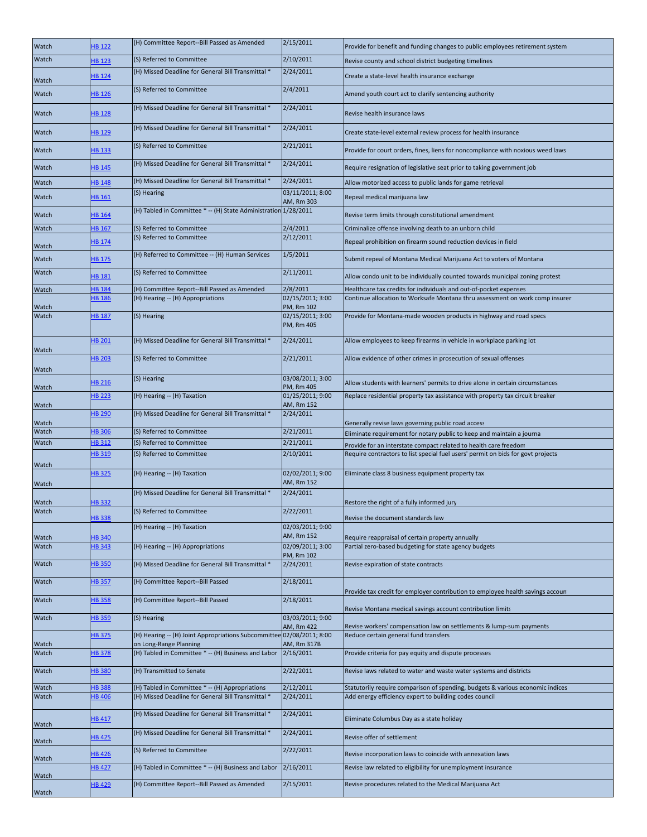| Watch          | HB 122                         | (H) Committee Report--Bill Passed as Amended                                                    | 2/15/2011                      | Provide for benefit and funding changes to public employees retirement system                                                                     |
|----------------|--------------------------------|-------------------------------------------------------------------------------------------------|--------------------------------|---------------------------------------------------------------------------------------------------------------------------------------------------|
| Watch          | <b>HB 123</b>                  | (S) Referred to Committee                                                                       | 2/10/2011                      | Revise county and school district budgeting timelines                                                                                             |
|                | <b>HB</b> 124                  | (H) Missed Deadline for General Bill Transmittal *                                              | 2/24/2011                      | Create a state-level health insurance exchange                                                                                                    |
| Watch<br>Watch | HB 126                         | (S) Referred to Committee                                                                       | 2/4/2011                       | Amend youth court act to clarify sentencing authority                                                                                             |
| Watch          | <b>HB 128</b>                  | (H) Missed Deadline for General Bill Transmittal *                                              | 2/24/2011                      | Revise health insurance laws                                                                                                                      |
| Watch          | HB 129                         | (H) Missed Deadline for General Bill Transmittal *                                              | 2/24/2011                      | Create state-level external review process for health insurance                                                                                   |
| Watch          | <b>HB 133</b>                  | (S) Referred to Committee                                                                       | 2/21/2011                      | Provide for court orders, fines, liens for noncompliance with noxious weed laws                                                                   |
| Watch          | HB 145                         | (H) Missed Deadline for General Bill Transmittal *                                              | 2/24/2011                      | Require resignation of legislative seat prior to taking government job                                                                            |
| Watch          | <b>HB 148</b>                  | (H) Missed Deadline for General Bill Transmittal *                                              | 2/24/2011                      | Allow motorized access to public lands for game retrieval                                                                                         |
| Watch          | HB 161                         | (S) Hearing                                                                                     | 03/11/2011; 8:00<br>AM, Rm 303 | Repeal medical marijuana law                                                                                                                      |
| Watch          | <b>HB 164</b>                  | (H) Tabled in Committee *-- (H) State Administration 1/28/2011                                  |                                | Revise term limits through constitutional amendment                                                                                               |
| Watch          | <b>HB 167</b>                  | (S) Referred to Committee<br>(S) Referred to Committee                                          | 2/4/2011<br>2/12/2011          | Criminalize offense involving death to an unborn child                                                                                            |
| Watch          | <b>HB</b> 174                  |                                                                                                 |                                | Repeal prohibition on firearm sound reduction devices in field                                                                                    |
| Watch          | <b>HB 175</b>                  | (H) Referred to Committee -- (H) Human Services                                                 | 1/5/2011                       | Submit repeal of Montana Medical Marijuana Act to voters of Montana                                                                               |
| Watch          | <b>HB 181</b>                  | (S) Referred to Committee                                                                       | 2/11/2011<br>2/8/2011          | Allow condo unit to be individually counted towards municipal zoning protest                                                                      |
| Watch          | <b>HB 184</b><br><b>HB</b> 186 | (H) Committee Report--Bill Passed as Amended<br>(H) Hearing -- (H) Appropriations               | 02/15/2011; 3:00               | Healthcare tax credits for individuals and out-of-pocket expenses<br>Continue allocation to Worksafe Montana thru assessment on work comp insurer |
| Watch          |                                |                                                                                                 | PM, Rm 102                     |                                                                                                                                                   |
| Watch          | <b>HB 187</b>                  | (S) Hearing                                                                                     | 02/15/2011; 3:00<br>PM, Rm 405 | Provide for Montana-made wooden products in highway and road specs                                                                                |
| Watch          | <b>HB 201</b>                  | (H) Missed Deadline for General Bill Transmittal *                                              | 2/24/2011                      | Allow employees to keep firearms in vehicle in workplace parking lot                                                                              |
| Watch          | <b>HB 203</b>                  | (S) Referred to Committee                                                                       | 2/21/2011                      | Allow evidence of other crimes in prosecution of sexual offenses                                                                                  |
| Watch          | HB 216                         | (S) Hearing                                                                                     | 03/08/2011; 3:00<br>PM, Rm 405 | Allow students with learners' permits to drive alone in certain circumstances                                                                     |
| Watch          | <b>HB 223</b>                  | (H) Hearing -- (H) Taxation                                                                     | 01/25/2011; 9:00<br>AM, Rm 152 | Replace residential property tax assistance with property tax circuit breaker                                                                     |
| Watch          | <b>HB 290</b>                  | (H) Missed Deadline for General Bill Transmittal *                                              | 2/24/2011                      | Generally revise laws governing public road access                                                                                                |
| Watch          | <b>HB306</b>                   | (S) Referred to Committee                                                                       | 2/21/2011                      | Eliminate requirement for notary public to keep and maintain a journa                                                                             |
| Watch          | <b>HB312</b>                   | (S) Referred to Committee                                                                       | 2/21/2011                      | Provide for an interstate compact related to health care freedom                                                                                  |
| Watch          | <b>HB 319</b>                  | (S) Referred to Committee                                                                       | 2/10/2011                      | Require contractors to list special fuel users' permit on bids for govt projects                                                                  |
| Watch          | <b>HB325</b>                   | (H) Hearing -- (H) Taxation                                                                     | 02/02/2011; 9:00<br>AM, Rm 152 | Eliminate class 8 business equipment property tax                                                                                                 |
| Watch          | <b>HB332</b>                   | (H) Missed Deadline for General Bill Transmittal *                                              | 2/24/2011                      | Restore the right of a fully informed jury                                                                                                        |
| Watch          |                                | (S) Referred to Committee                                                                       | 2/22/2011                      |                                                                                                                                                   |
|                | <b>HB338</b>                   | (H) Hearing -- (H) Taxation                                                                     | 02/03/2011; 9:00               | Revise the document standards law                                                                                                                 |
| Watch          | <b>HB340</b>                   |                                                                                                 | AM, Rm 152                     | Require reappraisal of certain property annually                                                                                                  |
| Watch          | <b>HB 343</b>                  | (H) Hearing -- (H) Appropriations                                                               | 02/09/2011; 3:00<br>PM, Rm 102 | Partial zero-based budgeting for state agency budgets                                                                                             |
| Watch          | <b>HB 350</b>                  | (H) Missed Deadline for General Bill Transmittal *                                              | 2/24/2011                      | Revise expiration of state contracts                                                                                                              |
| Watch          | <b>HB 357</b>                  | (H) Committee Report--Bill Passed                                                               | 2/18/2011                      | Provide tax credit for employer contribution to employee health savings account                                                                   |
| Watch          | <b>HB358</b>                   | (H) Committee Report--Bill Passed                                                               | 2/18/2011                      | Revise Montana medical savings account contribution limits                                                                                        |
| Watch          | <b>HB359</b>                   | (S) Hearing                                                                                     | 03/03/2011; 9:00<br>AM, Rm 422 | Revise workers' compensation law on settlements & lump-sum payments                                                                               |
| Watch          | <b>B</b> 375                   | (H) Hearing -- (H) Joint Appropriations Subcommittee 02/08/2011; 8:00<br>on Long-Range Planning | AM, Rm 317B                    | Reduce certain general fund transfers                                                                                                             |
| Watch          | <b>HB 378</b>                  | (H) Tabled in Committee *-- (H) Business and Labor                                              | 2/16/2011                      | Provide criteria for pay equity and dispute processes                                                                                             |
| Watch          | <b>HB380</b>                   | (H) Transmitted to Senate                                                                       | 2/22/2011                      | Revise laws related to water and waste water systems and districts                                                                                |
| Watch          | <b>HB388</b>                   | (H) Tabled in Committee *-- (H) Appropriations                                                  | 2/12/2011                      | Statutorily require comparison of spending, budgets & various economic indices                                                                    |
| Watch          | <b>HB 406</b>                  | (H) Missed Deadline for General Bill Transmittal *                                              | 2/24/2011                      | Add energy efficiency expert to building codes council                                                                                            |
| Watch          | HB 417                         | (H) Missed Deadline for General Bill Transmittal *                                              | 2/24/2011                      | Eliminate Columbus Day as a state holiday                                                                                                         |
| Watch          | <b>HB 425</b>                  | (H) Missed Deadline for General Bill Transmittal *                                              | 2/24/2011                      | Revise offer of settlement                                                                                                                        |
| Watch          | <b>HB 426</b>                  | (S) Referred to Committee                                                                       | 2/22/2011                      | Revise incorporation laws to coincide with annexation laws                                                                                        |
| Watch          | <b>HB 427</b>                  | (H) Tabled in Committee * -- (H) Business and Labor                                             | 2/16/2011                      | Revise law related to eligibility for unemployment insurance                                                                                      |
| Watch          | <b>HB 429</b>                  | (H) Committee Report--Bill Passed as Amended                                                    | 2/15/2011                      | Revise procedures related to the Medical Marijuana Act                                                                                            |
|                |                                |                                                                                                 |                                |                                                                                                                                                   |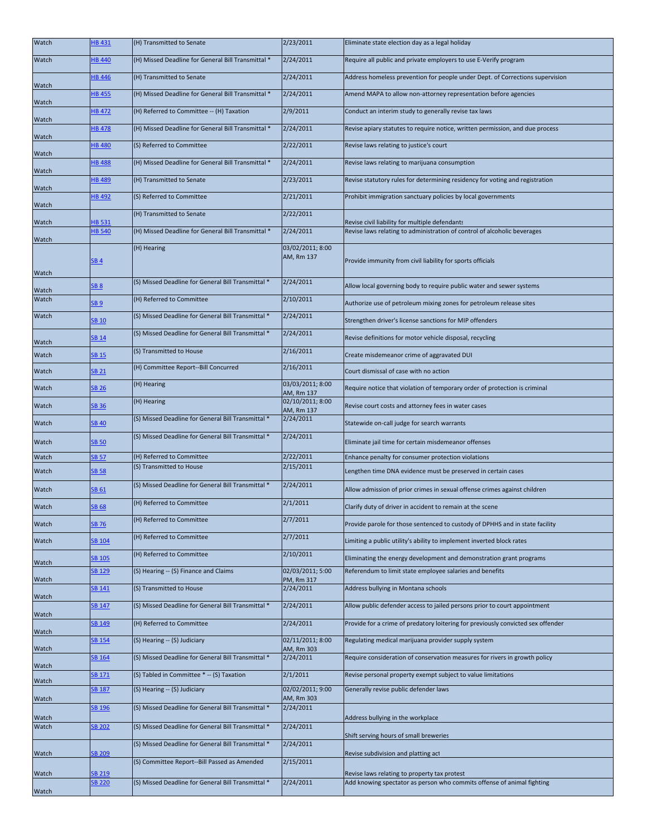| Watch          | HB 431                         | (H) Transmitted to Senate                          | 2/23/2011                      | Eliminate state election day as a legal holiday                                                                            |
|----------------|--------------------------------|----------------------------------------------------|--------------------------------|----------------------------------------------------------------------------------------------------------------------------|
| Watch          | <b>HB 440</b>                  | (H) Missed Deadline for General Bill Transmittal * | 2/24/2011                      | Require all public and private employers to use E-Verify program                                                           |
| Watch          | <b>HB 446</b>                  | (H) Transmitted to Senate                          | 2/24/2011                      | Address homeless prevention for people under Dept. of Corrections supervision                                              |
| Watch          | <b>HB 455</b>                  | (H) Missed Deadline for General Bill Transmittal * | 2/24/2011                      | Amend MAPA to allow non-attorney representation before agencies                                                            |
| Watch          | <b>HB 472</b>                  | (H) Referred to Committee -- (H) Taxation          | 2/9/2011                       | Conduct an interim study to generally revise tax laws                                                                      |
|                | <b>HB 478</b>                  | (H) Missed Deadline for General Bill Transmittal * | 2/24/2011                      | Revise apiary statutes to require notice, written permission, and due process                                              |
| Watch          | <b>HB 480</b>                  | (S) Referred to Committee                          | 2/22/2011                      | Revise laws relating to justice's court                                                                                    |
| Watch          | <b>HB 488</b>                  | (H) Missed Deadline for General Bill Transmittal * | 2/24/2011                      | Revise laws relating to marijuana consumption                                                                              |
| Watch          | <b>HB 489</b>                  | (H) Transmitted to Senate                          | 2/23/2011                      | Revise statutory rules for determining residency for voting and registration                                               |
| Watch          | <b>HB 492</b>                  | (S) Referred to Committee                          | 2/21/2011                      | Prohibit immigration sanctuary policies by local governments                                                               |
| Watch          |                                | (H) Transmitted to Senate                          | 2/22/2011                      |                                                                                                                            |
| Watch          | <b>HB 531</b><br><b>HB 540</b> | (H) Missed Deadline for General Bill Transmittal * | 2/24/2011                      | Revise civil liability for multiple defendants<br>Revise laws relating to administration of control of alcoholic beverages |
| Watch          | SB <sub>4</sub>                | (H) Hearing                                        | 03/02/2011; 8:00<br>AM, Rm 137 | Provide immunity from civil liability for sports officials                                                                 |
| Watch          |                                |                                                    |                                |                                                                                                                            |
| Watch          | <b>SB 8</b>                    | (S) Missed Deadline for General Bill Transmittal * | 2/24/2011                      | Allow local governing body to require public water and sewer systems                                                       |
| Watch          | <b>SB 9</b>                    | (H) Referred to Committee                          | 2/10/2011                      | Authorize use of petroleum mixing zones for petroleum release sites                                                        |
| Watch          | SB 10                          | (S) Missed Deadline for General Bill Transmittal * | 2/24/2011                      | Strengthen driver's license sanctions for MIP offenders                                                                    |
| Watch          | SB 14                          | (S) Missed Deadline for General Bill Transmittal * | 2/24/2011                      | Revise definitions for motor vehicle disposal, recycling                                                                   |
| Watch          | <b>SB 15</b>                   | (S) Transmitted to House                           | 2/16/2011                      | Create misdemeanor crime of aggravated DUI                                                                                 |
| Watch          | <b>SB 21</b>                   | (H) Committee Report--Bill Concurred               | 2/16/2011                      | Court dismissal of case with no action                                                                                     |
| Watch          | <b>SB 26</b>                   | (H) Hearing                                        | 03/03/2011; 8:00<br>AM, Rm 137 | Require notice that violation of temporary order of protection is criminal                                                 |
| Watch          | <b>SB 36</b>                   | (H) Hearing                                        | 02/10/2011; 8:00<br>AM, Rm 137 | Revise court costs and attorney fees in water cases                                                                        |
| Watch          | SB 40                          | (S) Missed Deadline for General Bill Transmittal * | 2/24/2011                      | Statewide on-call judge for search warrants                                                                                |
| Watch          | <b>SB 50</b>                   | (S) Missed Deadline for General Bill Transmittal * | 2/24/2011                      | Eliminate jail time for certain misdemeanor offenses                                                                       |
| Watch          | SB 57                          | (H) Referred to Committee                          | 2/22/2011                      | Enhance penalty for consumer protection violations                                                                         |
| Watch          | <b>SB 58</b>                   | (S) Transmitted to House                           | 2/15/2011                      | Lengthen time DNA evidence must be preserved in certain cases                                                              |
| Watch          | SB 61                          | (S) Missed Deadline for General Bill Transmittal * | 2/24/2011                      | Allow admission of prior crimes in sexual offense crimes against children                                                  |
| Watch          | <b>SB 68</b>                   | (H) Referred to Committee                          | 2/1/2011                       | Clarify duty of driver in accident to remain at the scene                                                                  |
| Watch          | <b>SB 76</b>                   | (H) Referred to Committee                          | 2/7/2011                       | Provide parole for those sentenced to custody of DPHHS and in state facility                                               |
| Watch          | SB <sub>104</sub>              | (H) Referred to Committee                          | 2/7/2011                       | Limiting a public utility's ability to implement inverted block rates                                                      |
|                | SB 105                         | (H) Referred to Committee                          | 2/10/2011                      | Eliminating the energy development and demonstration grant programs                                                        |
| Watch          | <b>SB 129</b>                  | (S) Hearing -- (S) Finance and Claims              | 02/03/2011; 5:00               | Referendum to limit state employee salaries and benefits                                                                   |
| Watch          | <b>SB 141</b>                  | (S) Transmitted to House                           | PM, Rm 317<br>2/24/2011        | Address bullying in Montana schools                                                                                        |
| Watch          | <b>SB 147</b>                  | (S) Missed Deadline for General Bill Transmittal * | 2/24/2011                      | Allow public defender access to jailed persons prior to court appointment                                                  |
| Watch          | <b>SB 149</b>                  | (H) Referred to Committee                          | 2/24/2011                      | Provide for a crime of predatory loitering for previously convicted sex offender                                           |
| Watch          | <b>SB 154</b>                  | (S) Hearing -- (S) Judiciary                       | 02/11/2011; 8:00               | Regulating medical marijuana provider supply system                                                                        |
| Watch          | <b>SB 164</b>                  | (S) Missed Deadline for General Bill Transmittal * | AM, Rm 303<br>2/24/2011        | Require consideration of conservation measures for rivers in growth policy                                                 |
| Watch          | <b>SB 171</b>                  | (S) Tabled in Committee *-- (S) Taxation           | 2/1/2011                       | Revise personal property exempt subject to value limitations                                                               |
| Watch          | <b>SB 187</b>                  | (S) Hearing -- (S) Judiciary                       | 02/02/2011; 9:00               | Generally revise public defender laws                                                                                      |
| Watch          | SB 196                         | (S) Missed Deadline for General Bill Transmittal * | AM, Rm 303<br>2/24/2011        |                                                                                                                            |
| Watch<br>Watch | <b>SB 202</b>                  | (S) Missed Deadline for General Bill Transmittal * | 2/24/2011                      | Address bullying in the workplace                                                                                          |
|                |                                | (S) Missed Deadline for General Bill Transmittal * | 2/24/2011                      | Shift serving hours of small breweries                                                                                     |
| Watch          | <b>SB 209</b>                  |                                                    |                                | Revise subdivision and platting act                                                                                        |
|                |                                | (S) Committee Report--Bill Passed as Amended       | 2/15/2011                      |                                                                                                                            |
| Watch          | <b>SB 219</b>                  |                                                    | 2/24/2011                      | Revise laws relating to property tax protest                                                                               |